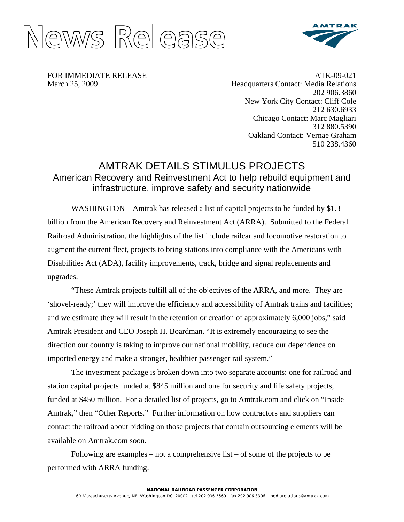



FOR IMMEDIATE RELEASE March 25, 2009

ATK-09-021 Headquarters Contact: Media Relations 202 906.3860 New York City Contact: Cliff Cole 212 630.6933 Chicago Contact: Marc Magliari 312 880.5390 Oakland Contact: Vernae Graham 510 238.4360

# AMTRAK DETAILS STIMULUS PROJECTS American Recovery and Reinvestment Act to help rebuild equipment and infrastructure, improve safety and security nationwide

WASHINGTON—Amtrak has released a list of capital projects to be funded by \$1.3 billion from the American Recovery and Reinvestment Act (ARRA). Submitted to the Federal Railroad Administration, the highlights of the list include railcar and locomotive restoration to augment the current fleet, projects to bring stations into compliance with the Americans with Disabilities Act (ADA), facility improvements, track, bridge and signal replacements and upgrades.

"These Amtrak projects fulfill all of the objectives of the ARRA, and more. They are 'shovel-ready;' they will improve the efficiency and accessibility of Amtrak trains and facilities; and we estimate they will result in the retention or creation of approximately 6,000 jobs," said Amtrak President and CEO Joseph H. Boardman. "It is extremely encouraging to see the direction our country is taking to improve our national mobility, reduce our dependence on imported energy and make a stronger, healthier passenger rail system."

The investment package is broken down into two separate accounts: one for railroad and station capital projects funded at \$845 million and one for security and life safety projects, funded at \$450 million. For a detailed list of projects, go to Amtrak.com and click on "Inside Amtrak," then "Other Reports." Further information on how contractors and suppliers can contact the railroad about bidding on those projects that contain outsourcing elements will be available on Amtrak.com soon.

Following are examples – not a comprehensive list – of some of the projects to be performed with ARRA funding.